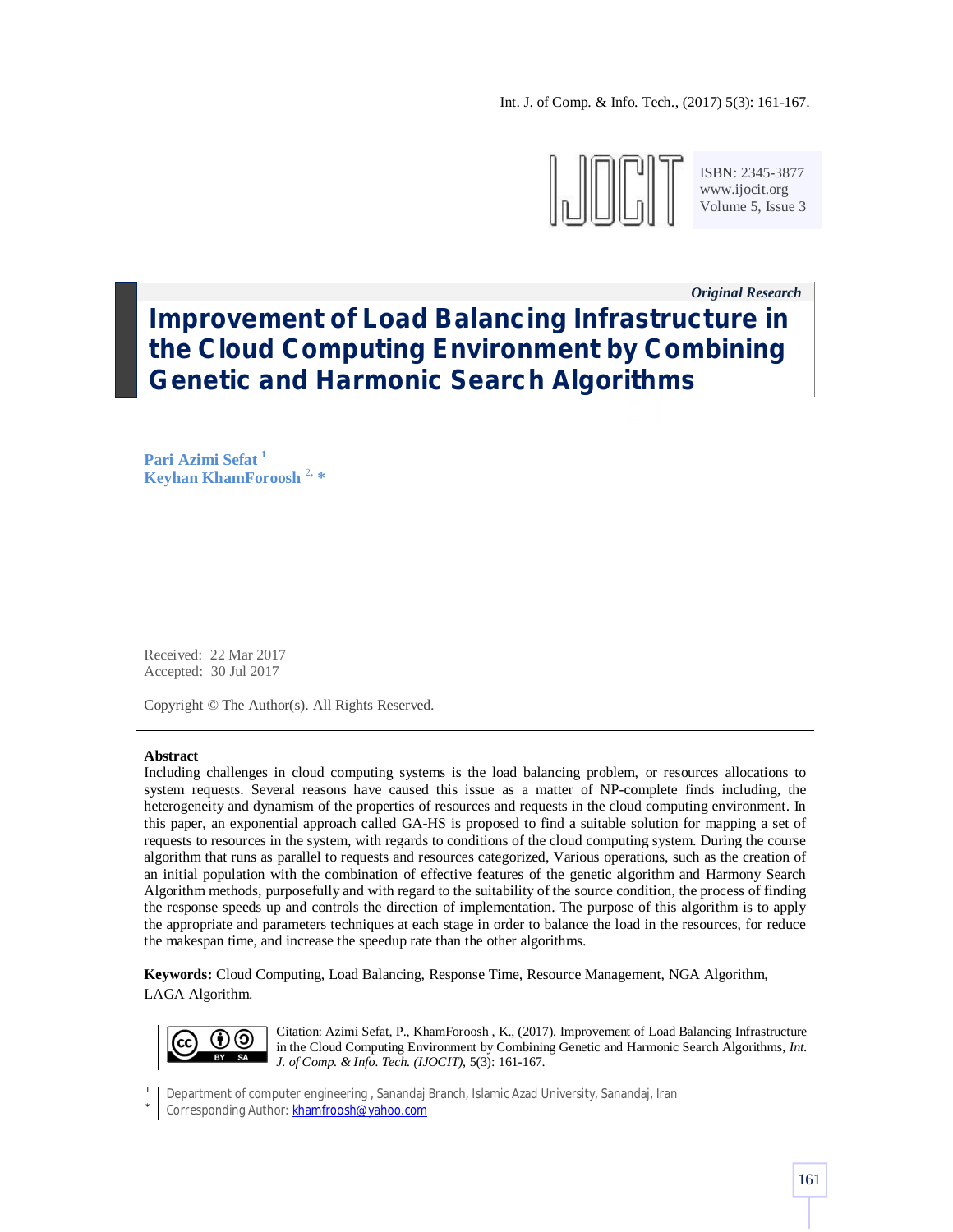Int. J. of Comp. & Info. Tech., (2017) 5(3): 161-167.



ISBN: 2345-3877 www.ijocit.org Volume 5, Issue 3

*Original Research\_\_*

# **Improvement of Load Balancing Infrastructure in the Cloud Computing Environment by Combining Genetic and Harmonic Search Algorithms**

**Pari Azimi Sefat <sup>1</sup> Keyhan KhamForoosh** <sup>2</sup>**, \***

Received: 22 Mar 2017 Accepted: 30 Jul 2017

Copyright © The Author(s). All Rights Reserved.

## **Abstract**

Including challenges in cloud computing systems is the load balancing problem, or resources allocations to system requests. Several reasons have caused this issue as a matter of NP-complete finds including, the heterogeneity and dynamism of the properties of resources and requests in the cloud computing environment. In this paper, an exponential approach called GA-HS is proposed to find a suitable solution for mapping a set of requests to resources in the system, with regards to conditions of the cloud computing system. During the course algorithm that runs as parallel to requests and resources categorized, Various operations, such as the creation of an initial population with the combination of effective features of the genetic algorithm and Harmony Search Algorithm methods, purposefully and with regard to the suitability of the source condition, the process of finding the response speeds up and controls the direction of implementation. The purpose of this algorithm is to apply the appropriate and parameters techniques at each stage in order to balance the load in the resources, for reduce the makespan time, and increase the speedup rate than the other algorithms.

**Keywords:** Cloud Computing, Load Balancing, Response Time, Resource Management, NGA Algorithm, LAGA Algorithm.



Citation: Azimi Sefat, P., KhamForoosh , K., (2017). Improvement of Load Balancing Infrastructure in the Cloud Computing Environment by Combining Genetic and Harmonic Search Algorithms, *Int. J. of Comp. & Info. Tech. (IJOCIT)*, 5(3): 161-167.

1 Department of computer engineering , Sanandaj Branch, Islamic Azad University, Sanandaj, Iran

\* Corresponding Author: khamfroosh@yahoo.com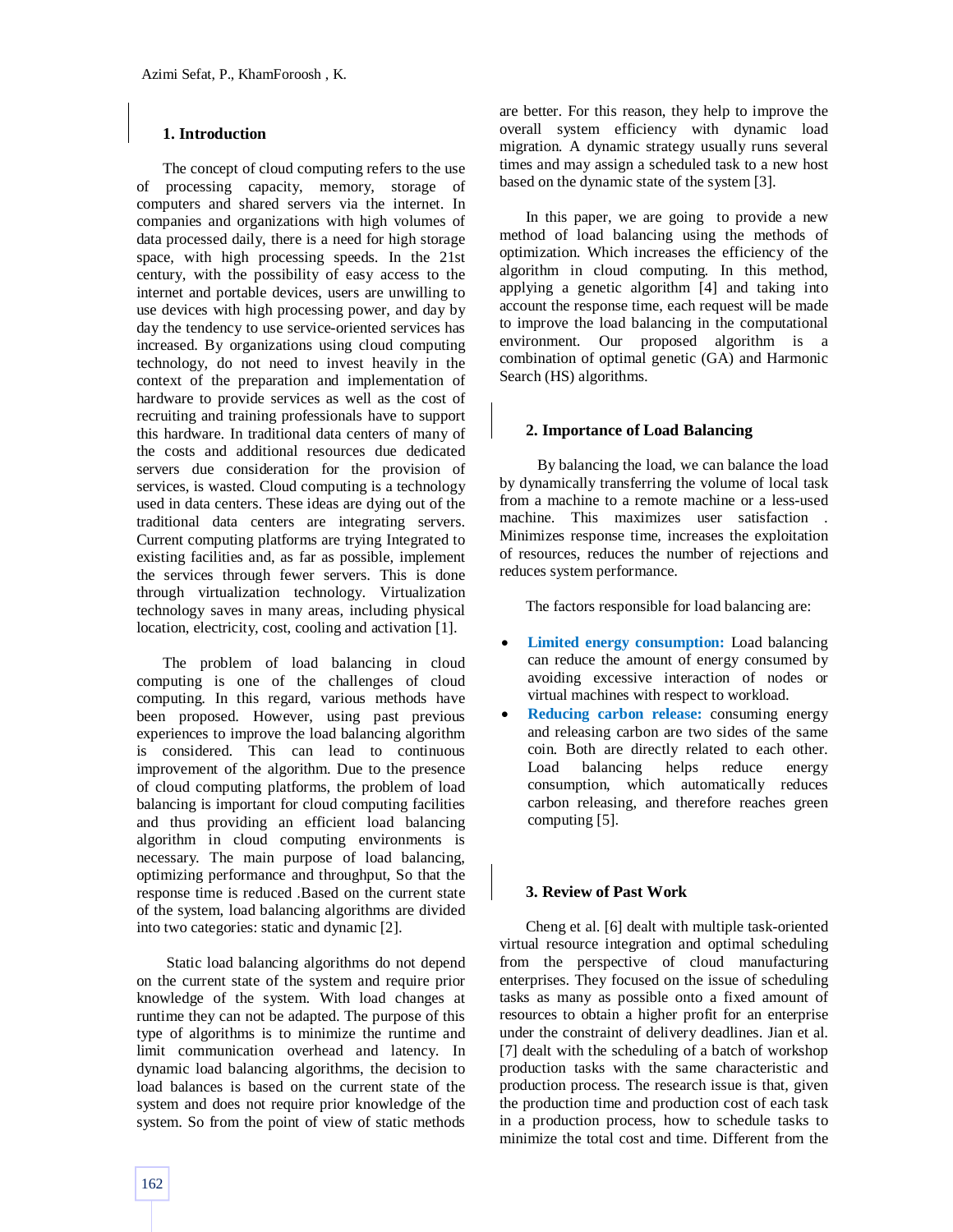# **1. Introduction**

The concept of cloud computing refers to the use of processing capacity, memory, storage of computers and shared servers via the internet. In companies and organizations with high volumes of data processed daily, there is a need for high storage space, with high processing speeds. In the 21st century, with the possibility of easy access to the internet and portable devices, users are unwilling to use devices with high processing power, and day by day the tendency to use service-oriented services has increased. By organizations using cloud computing technology, do not need to invest heavily in the context of the preparation and implementation of hardware to provide services as well as the cost of recruiting and training professionals have to support this hardware. In traditional data centers of many of the costs and additional resources due dedicated servers due consideration for the provision of services, is wasted. Cloud computing is a technology used in data centers. These ideas are dying out of the traditional data centers are integrating servers. Current computing platforms are trying Integrated to existing facilities and, as far as possible, implement the services through fewer servers. This is done through virtualization technology. Virtualization technology saves in many areas, including physical location, electricity, cost, cooling and activation [1].

The problem of load balancing in cloud computing is one of the challenges of cloud computing. In this regard, various methods have been proposed. However, using past previous experiences to improve the load balancing algorithm is considered. This can lead to continuous improvement of the algorithm. Due to the presence of cloud computing platforms, the problem of load balancing is important for cloud computing facilities and thus providing an efficient load balancing algorithm in cloud computing environments is necessary. The main purpose of load balancing, optimizing performance and throughput, So that the response time is reduced .Based on the current state of the system, load balancing algorithms are divided into two categories: static and dynamic [2].

Static load balancing algorithms do not depend on the current state of the system and require prior knowledge of the system. With load changes at runtime they can not be adapted. The purpose of this type of algorithms is to minimize the runtime and limit communication overhead and latency. In dynamic load balancing algorithms, the decision to load balances is based on the current state of the system and does not require prior knowledge of the system. So from the point of view of static methods are better. For this reason, they help to improve the overall system efficiency with dynamic load migration. A dynamic strategy usually runs several times and may assign a scheduled task to a new host based on the dynamic state of the system [3].

In this paper, we are going to provide a new method of load balancing using the methods of optimization. Which increases the efficiency of the algorithm in cloud computing. In this method, applying a genetic algorithm [4] and taking into account the response time, each request will be made to improve the load balancing in the computational environment. Our proposed algorithm is a combination of optimal genetic (GA) and Harmonic Search (HS) algorithms.

# **2. Importance of Load Balancing**

 By balancing the load, we can balance the load by dynamically transferring the volume of local task from a machine to a remote machine or a less-used machine. This maximizes user satisfaction . Minimizes response time, increases the exploitation of resources, reduces the number of rejections and reduces system performance.

The factors responsible for load balancing are:

- **Limited energy consumption:** Load balancing can reduce the amount of energy consumed by avoiding excessive interaction of nodes or virtual machines with respect to workload.
- **Reducing carbon release:** consuming energy and releasing carbon are two sides of the same coin. Both are directly related to each other. Load balancing helps reduce energy consumption, which automatically reduces carbon releasing, and therefore reaches green computing [5].

# **3. Review of Past Work**

Cheng et al. [6] dealt with multiple task-oriented virtual resource integration and optimal scheduling from the perspective of cloud manufacturing enterprises. They focused on the issue of scheduling tasks as many as possible onto a fixed amount of resources to obtain a higher profit for an enterprise under the constraint of delivery deadlines. Jian et al. [7] dealt with the scheduling of a batch of workshop production tasks with the same characteristic and production process. The research issue is that, given the production time and production cost of each task in a production process, how to schedule tasks to minimize the total cost and time. Different from the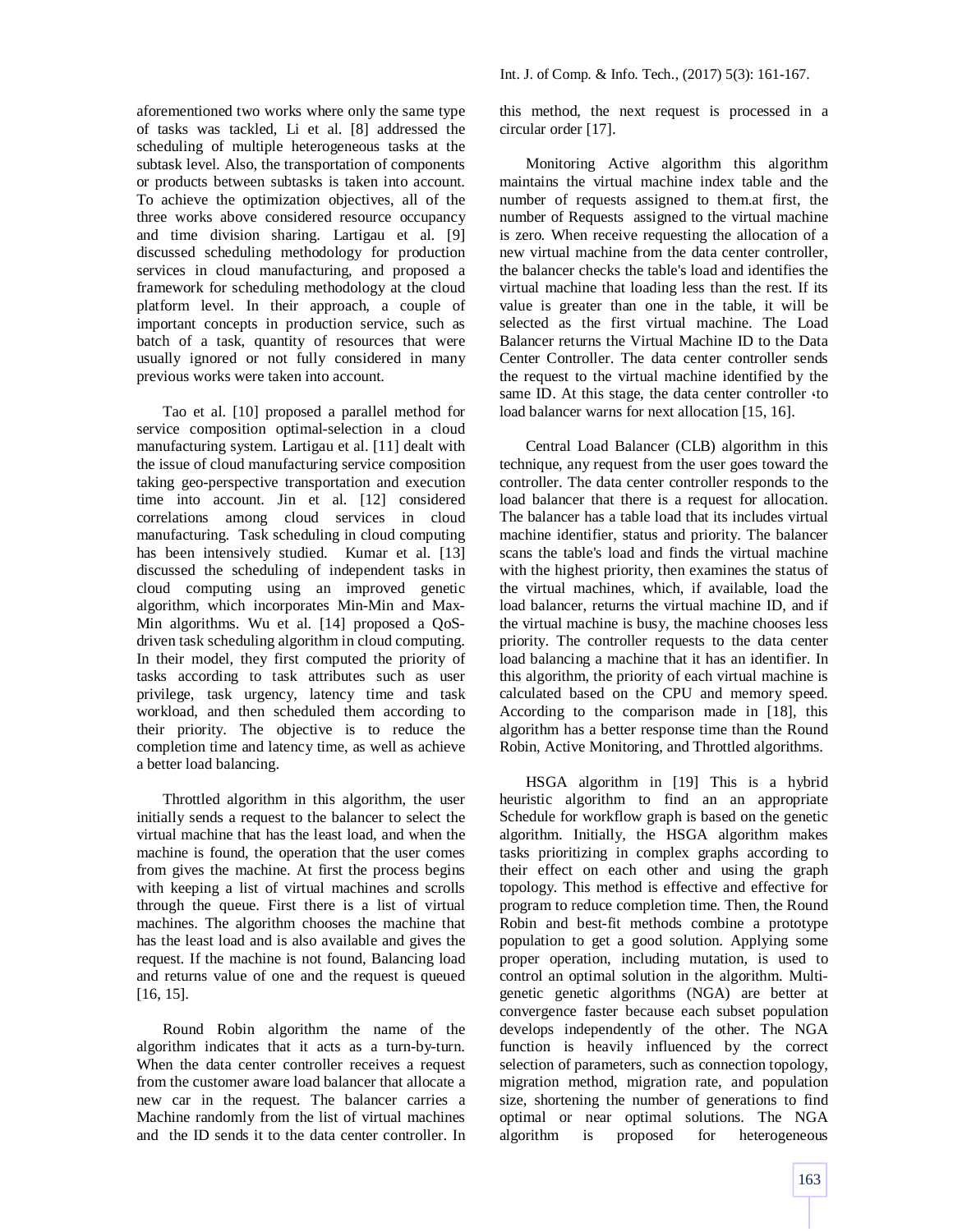aforementioned two works where only the same type of tasks was tackled, Li et al. [8] addressed the scheduling of multiple heterogeneous tasks at the subtask level. Also, the transportation of components or products between subtasks is taken into account. To achieve the optimization objectives, all of the three works above considered resource occupancy and time division sharing. Lartigau et al. [9] discussed scheduling methodology for production services in cloud manufacturing, and proposed a framework for scheduling methodology at the cloud platform level. In their approach, a couple of important concepts in production service, such as batch of a task, quantity of resources that were usually ignored or not fully considered in many previous works were taken into account.

Tao et al. [10] proposed a parallel method for service composition optimal-selection in a cloud manufacturing system. Lartigau et al. [11] dealt with the issue of cloud manufacturing service composition taking geo-perspective transportation and execution time into account. Jin et al. [12] considered correlations among cloud services in cloud manufacturing. Task scheduling in cloud computing has been intensively studied. Kumar et al. [13] discussed the scheduling of independent tasks in cloud computing using an improved genetic algorithm, which incorporates Min-Min and Max-Min algorithms. Wu et al. [14] proposed a QoSdriven task scheduling algorithm in cloud computing. In their model, they first computed the priority of tasks according to task attributes such as user privilege, task urgency, latency time and task workload, and then scheduled them according to their priority. The objective is to reduce the completion time and latency time, as well as achieve a better load balancing.

Throttled algorithm in this algorithm, the user initially sends a request to the balancer to select the virtual machine that has the least load, and when the machine is found, the operation that the user comes from gives the machine. At first the process begins with keeping a list of virtual machines and scrolls through the queue. First there is a list of virtual machines. The algorithm chooses the machine that has the least load and is also available and gives the request. If the machine is not found, Balancing load and returns value of one and the request is queued [16, 15].

Round Robin algorithm the name of the algorithm indicates that it acts as a turn-by-turn. When the data center controller receives a request from the customer aware load balancer that allocate a new car in the request. The balancer carries a Machine randomly from the list of virtual machines and the ID sends it to the data center controller. In

this method, the next request is processed in a circular order [17].

Monitoring Active algorithm this algorithm maintains the virtual machine index table and the number of requests assigned to them.at first, the number of Requests assigned to the virtual machine is zero. When receive requesting the allocation of a new virtual machine from the data center controller, the balancer checks the table's load and identifies the virtual machine that loading less than the rest. If its value is greater than one in the table, it will be selected as the first virtual machine. The Load Balancer returns the Virtual Machine ID to the Data Center Controller. The data center controller sends the request to the virtual machine identified by the same ID. At this stage, the data center controller  $\triangle$  to load balancer warns for next allocation [15, 16].

Central Load Balancer (CLB) algorithm in this technique, any request from the user goes toward the controller. The data center controller responds to the load balancer that there is a request for allocation. The balancer has a table load that its includes virtual machine identifier, status and priority. The balancer scans the table's load and finds the virtual machine with the highest priority, then examines the status of the virtual machines, which, if available, load the load balancer, returns the virtual machine ID, and if the virtual machine is busy, the machine chooses less priority. The controller requests to the data center load balancing a machine that it has an identifier. In this algorithm, the priority of each virtual machine is calculated based on the CPU and memory speed. According to the comparison made in [18], this algorithm has a better response time than the Round Robin, Active Monitoring, and Throttled algorithms.

HSGA algorithm in [19] This is a hybrid heuristic algorithm to find an an appropriate Schedule for workflow graph is based on the genetic algorithm. Initially, the HSGA algorithm makes tasks prioritizing in complex graphs according to their effect on each other and using the graph topology. This method is effective and effective for program to reduce completion time. Then, the Round Robin and best-fit methods combine a prototype population to get a good solution. Applying some proper operation, including mutation, is used to control an optimal solution in the algorithm. Multigenetic genetic algorithms (NGA) are better at convergence faster because each subset population develops independently of the other. The NGA function is heavily influenced by the correct selection of parameters, such as connection topology, migration method, migration rate, and population size, shortening the number of generations to find optimal or near optimal solutions. The NGA algorithm is proposed for heterogeneous algorithm is proposed for heterogeneous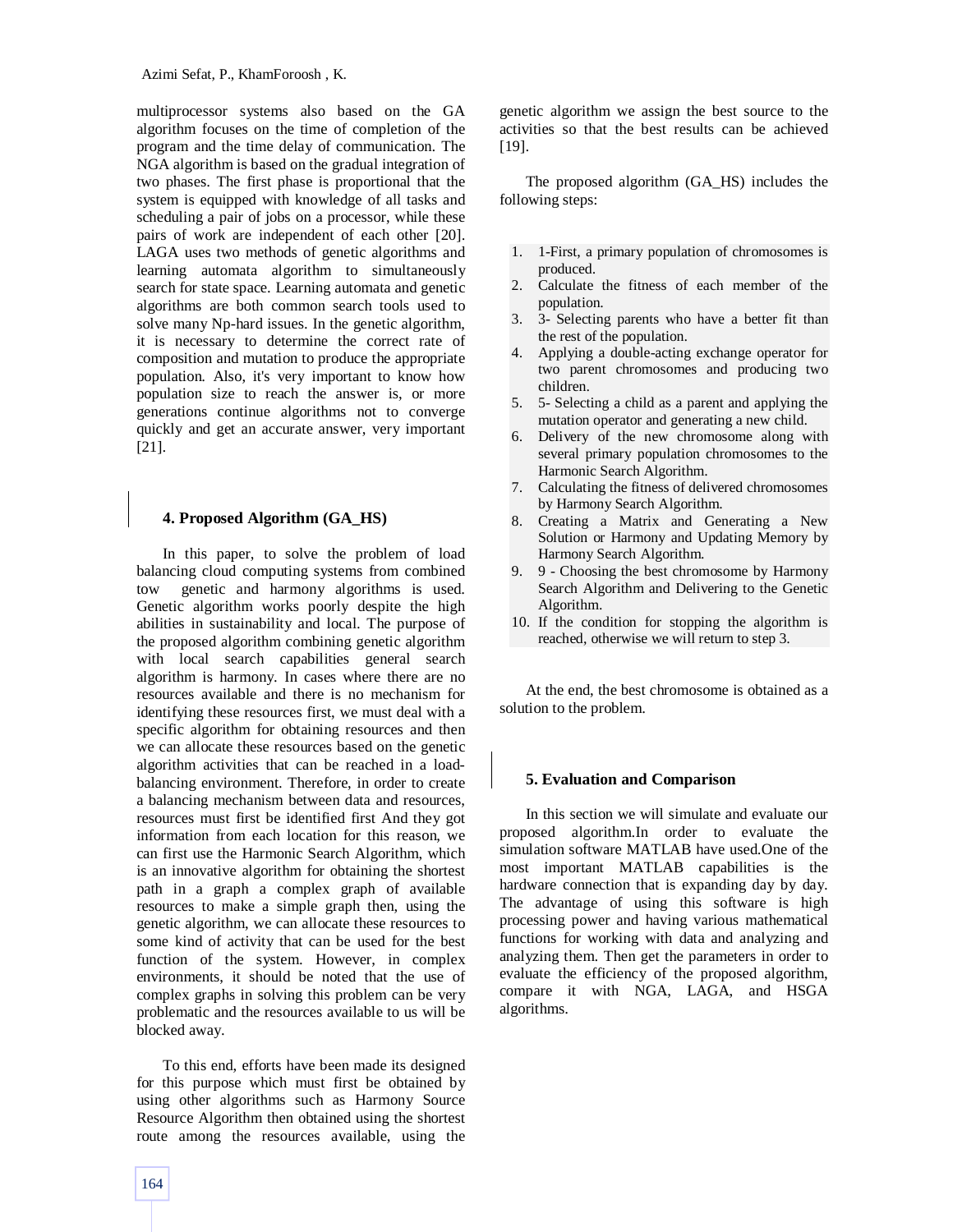multiprocessor systems also based on the GA algorithm focuses on the time of completion of the program and the time delay of communication. The NGA algorithm is based on the gradual integration of two phases. The first phase is proportional that the system is equipped with knowledge of all tasks and scheduling a pair of jobs on a processor, while these pairs of work are independent of each other [20]. LAGA uses two methods of genetic algorithms and learning automata algorithm to simultaneously search for state space. Learning automata and genetic algorithms are both common search tools used to solve many Np-hard issues. In the genetic algorithm, it is necessary to determine the correct rate of composition and mutation to produce the appropriate population. Also, it's very important to know how population size to reach the answer is, or more generations continue algorithms not to converge quickly and get an accurate answer, very important [21].

# **4. Proposed Algorithm (GA\_HS)**

In this paper, to solve the problem of load balancing cloud computing systems from combined tow genetic and harmony algorithms is used. Genetic algorithm works poorly despite the high abilities in sustainability and local. The purpose of the proposed algorithm combining genetic algorithm with local search capabilities general search algorithm is harmony. In cases where there are no resources available and there is no mechanism for identifying these resources first, we must deal with a specific algorithm for obtaining resources and then we can allocate these resources based on the genetic algorithm activities that can be reached in a loadbalancing environment. Therefore, in order to create a balancing mechanism between data and resources, resources must first be identified first And they got information from each location for this reason, we can first use the Harmonic Search Algorithm, which is an innovative algorithm for obtaining the shortest path in a graph a complex graph of available resources to make a simple graph then, using the genetic algorithm, we can allocate these resources to some kind of activity that can be used for the best function of the system. However, in complex environments, it should be noted that the use of complex graphs in solving this problem can be very problematic and the resources available to us will be blocked away.

To this end, efforts have been made its designed for this purpose which must first be obtained by using other algorithms such as Harmony Source Resource Algorithm then obtained using the shortest route among the resources available, using the genetic algorithm we assign the best source to the activities so that the best results can be achieved [19].

The proposed algorithm (GA\_HS) includes the following steps:

- 1. 1-First, a primary population of chromosomes is produced.
- 2. Calculate the fitness of each member of the population.
- 3. 3- Selecting parents who have a better fit than the rest of the population.
- 4. Applying a double-acting exchange operator for two parent chromosomes and producing two children.
- 5. 5- Selecting a child as a parent and applying the mutation operator and generating a new child.
- 6. Delivery of the new chromosome along with several primary population chromosomes to the Harmonic Search Algorithm.
- 7. Calculating the fitness of delivered chromosomes by Harmony Search Algorithm.
- 8. Creating a Matrix and Generating a New Solution or Harmony and Updating Memory by Harmony Search Algorithm.
- 9. 9 Choosing the best chromosome by Harmony Search Algorithm and Delivering to the Genetic Algorithm.
- 10. If the condition for stopping the algorithm is reached, otherwise we will return to step 3.

At the end, the best chromosome is obtained as a solution to the problem.

## **5. Evaluation and Comparison**

In this section we will simulate and evaluate our proposed algorithm.In order to evaluate the simulation software MATLAB have used.One of the most important MATLAB capabilities is the hardware connection that is expanding day by day. The advantage of using this software is high processing power and having various mathematical functions for working with data and analyzing and analyzing them. Then get the parameters in order to evaluate the efficiency of the proposed algorithm, compare it with NGA, LAGA, and HSGA algorithms.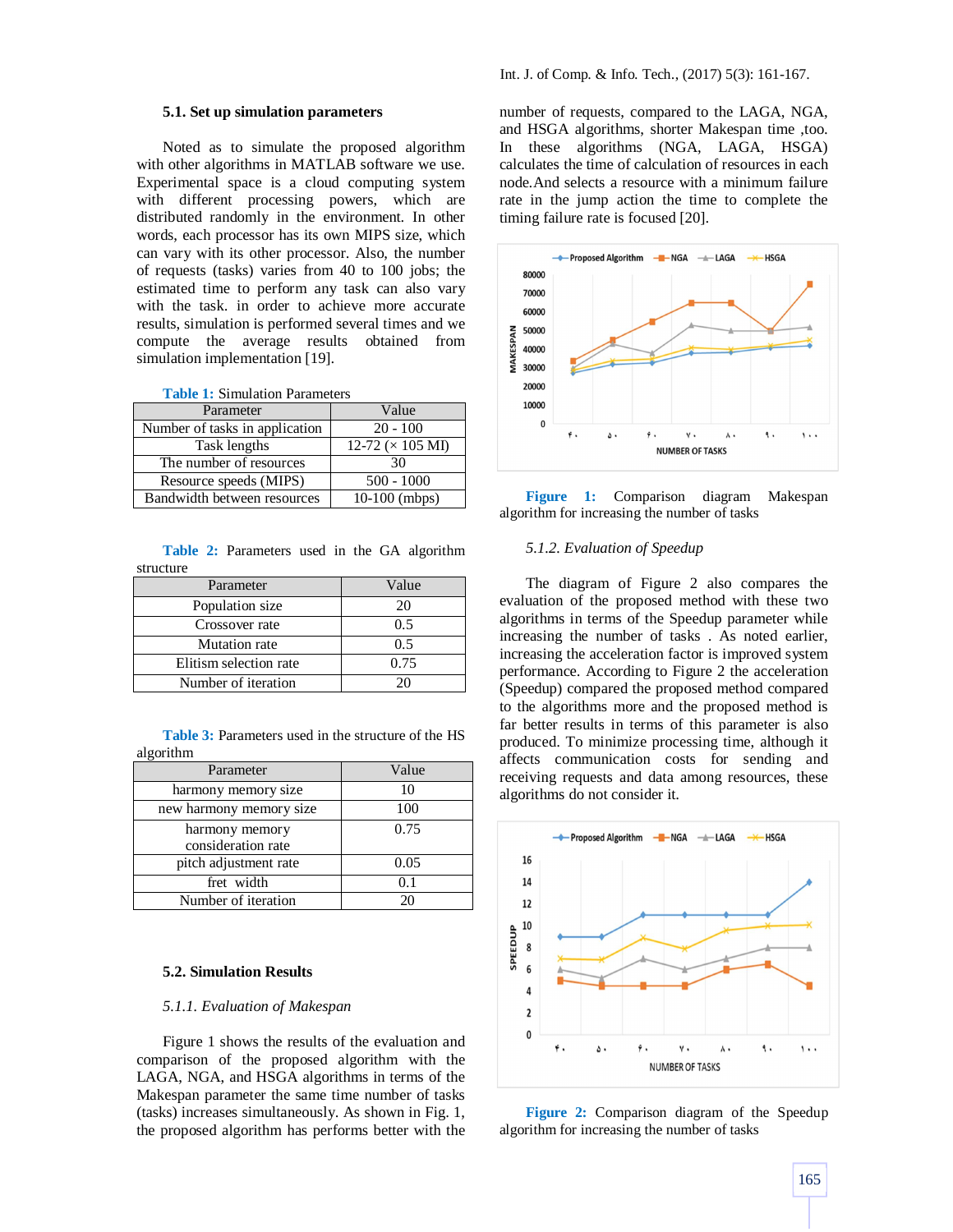# **5.1. Set up simulation parameters**

Noted as to simulate the proposed algorithm with other algorithms in MATLAB software we use. Experimental space is a cloud computing system with different processing powers, which are distributed randomly in the environment. In other words, each processor has its own MIPS size, which can vary with its other processor. Also, the number of requests (tasks) varies from 40 to 100 jobs; the estimated time to perform any task can also vary with the task. in order to achieve more accurate results, simulation is performed several times and we compute the average results obtained from simulation implementation [19].

| <b>Table 1: Simulation Parameters</b> |
|---------------------------------------|
|---------------------------------------|

| Parameter                      | Value                    |
|--------------------------------|--------------------------|
| Number of tasks in application | $20 - 100$               |
| Task lengths                   | 12-72 ( $\times$ 105 MI) |
| The number of resources        |                          |
| Resource speeds (MIPS)         | $500 - 1000$             |
| Bandwidth between resources    | $10-100$ (mbps)          |

**Table 2:** Parameters used in the GA algorithm structure

| Parameter              | Value |
|------------------------|-------|
| Population size        |       |
| Crossover rate         | 0.5   |
| <b>Mutation</b> rate   |       |
| Elitism selection rate | 0.75  |
| Number of iteration    |       |

**Table 3:** Parameters used in the structure of the HS algorithm

| Parameter                            | Value |
|--------------------------------------|-------|
| harmony memory size                  | 10    |
| new harmony memory size              | 100   |
| harmony memory<br>consideration rate | 0.75  |
|                                      |       |
| pitch adjustment rate                | 0.05  |
| fret width                           | 0.1   |
| Number of iteration                  |       |

#### **5.2. Simulation Results**

## *5.1.1. Evaluation of Makespan*

Figure 1 shows the results of the evaluation and comparison of the proposed algorithm with the LAGA, NGA, and HSGA algorithms in terms of the Makespan parameter the same time number of tasks (tasks) increases simultaneously. As shown in Fig. 1, the proposed algorithm has performs better with the number of requests, compared to the LAGA, NGA, and HSGA algorithms, shorter Makespan time ,too. In these algorithms (NGA, LAGA, HSGA) calculates the time of calculation of resources in each node.And selects a resource with a minimum failure rate in the jump action the time to complete the timing failure rate is focused [20].



**Figure 1:** Comparison diagram Makespan algorithm for increasing the number of tasks

# *5.1.2. Evaluation of Speedup*

The diagram of Figure 2 also compares the evaluation of the proposed method with these two algorithms in terms of the Speedup parameter while increasing the number of tasks . As noted earlier, increasing the acceleration factor is improved system performance. According to Figure 2 the acceleration (Speedup) compared the proposed method compared to the algorithms more and the proposed method is far better results in terms of this parameter is also produced. To minimize processing time, although it affects communication costs for sending and receiving requests and data among resources, these algorithms do not consider it.



**Figure 2:** Comparison diagram of the Speedup algorithm for increasing the number of tasks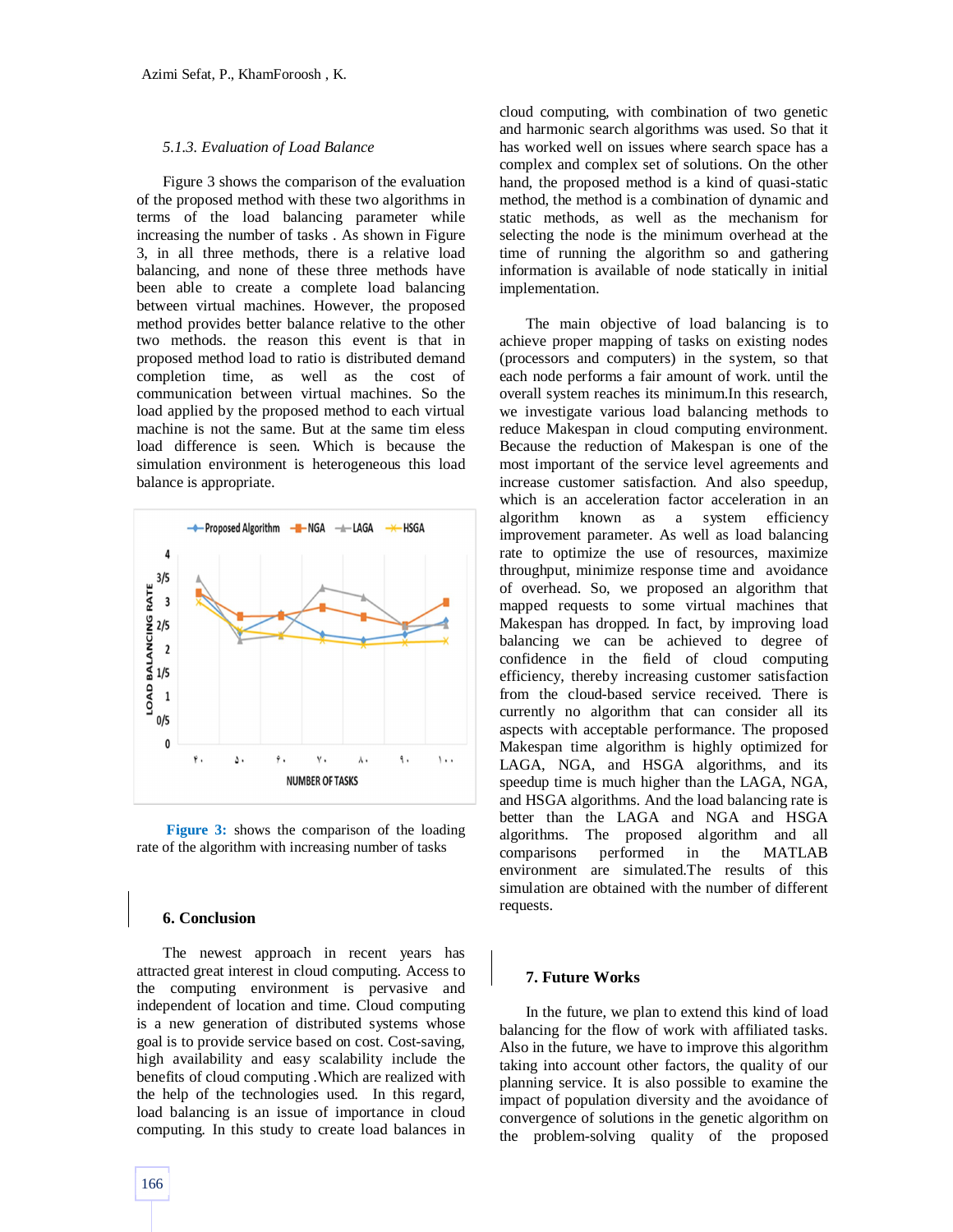#### *5.1.3. Evaluation of Load Balance*

Figure 3 shows the comparison of the evaluation of the proposed method with these two algorithms in terms of the load balancing parameter while increasing the number of tasks . As shown in Figure 3, in all three methods, there is a relative load balancing, and none of these three methods have been able to create a complete load balancing between virtual machines. However, the proposed method provides better balance relative to the other two methods. the reason this event is that in proposed method load to ratio is distributed demand completion time, as well as the cost of communication between virtual machines. So the load applied by the proposed method to each virtual machine is not the same. But at the same tim eless load difference is seen. Which is because the simulation environment is heterogeneous this load balance is appropriate.



**Figure 3:** shows the comparison of the loading rate of the algorithm with increasing number of tasks

## **6. Conclusion**

The newest approach in recent years has attracted great interest in cloud computing. Access to the computing environment is pervasive and independent of location and time. Cloud computing is a new generation of distributed systems whose goal is to provide service based on cost. Cost-saving, high availability and easy scalability include the benefits of cloud computing .Which are realized with the help of the technologies used. In this regard, load balancing is an issue of importance in cloud computing. In this study to create load balances in cloud computing, with combination of two genetic and harmonic search algorithms was used. So that it has worked well on issues where search space has a complex and complex set of solutions. On the other hand, the proposed method is a kind of quasi-static method, the method is a combination of dynamic and static methods, as well as the mechanism for selecting the node is the minimum overhead at the time of running the algorithm so and gathering information is available of node statically in initial implementation.

The main objective of load balancing is to achieve proper mapping of tasks on existing nodes (processors and computers) in the system, so that each node performs a fair amount of work. until the overall system reaches its minimum.In this research, we investigate various load balancing methods to reduce Makespan in cloud computing environment. Because the reduction of Makespan is one of the most important of the service level agreements and increase customer satisfaction. And also speedup, which is an acceleration factor acceleration in an algorithm known as a system efficiency improvement parameter. As well as load balancing rate to optimize the use of resources, maximize throughput, minimize response time and avoidance of overhead. So, we proposed an algorithm that mapped requests to some virtual machines that Makespan has dropped. In fact, by improving load balancing we can be achieved to degree of confidence in the field of cloud computing efficiency, thereby increasing customer satisfaction from the cloud-based service received. There is currently no algorithm that can consider all its aspects with acceptable performance. The proposed Makespan time algorithm is highly optimized for LAGA, NGA, and HSGA algorithms, and its speedup time is much higher than the LAGA, NGA, and HSGA algorithms. And the load balancing rate is better than the LAGA and NGA and HSGA algorithms. The proposed algorithm and all comparisons performed in the MATLAB environment are simulated.The results of this simulation are obtained with the number of different requests.

# **7. Future Works**

In the future, we plan to extend this kind of load balancing for the flow of work with affiliated tasks. Also in the future, we have to improve this algorithm taking into account other factors, the quality of our planning service. It is also possible to examine the impact of population diversity and the avoidance of convergence of solutions in the genetic algorithm on the problem-solving quality of the proposed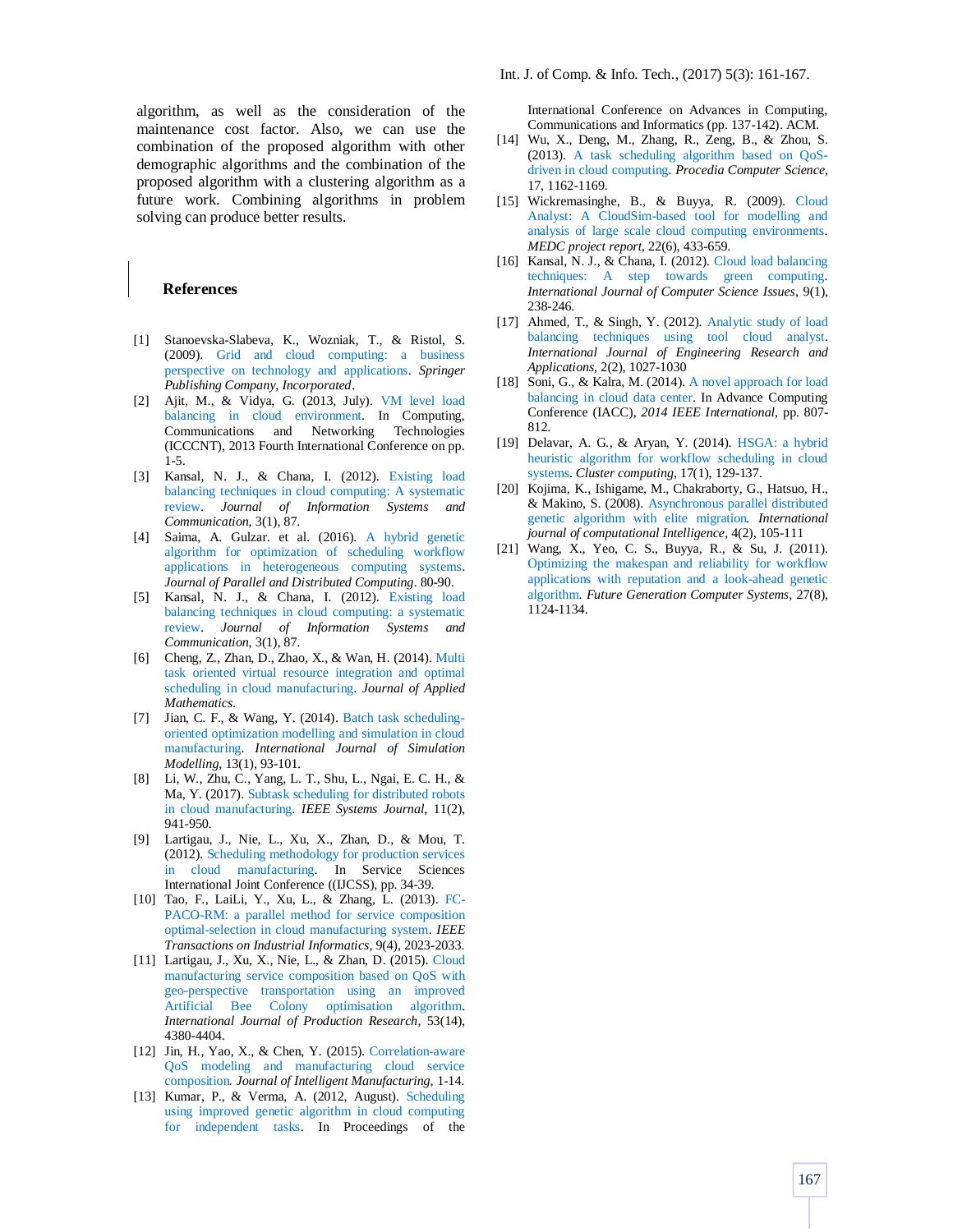algorithm, as well as the consideration of the maintenance cost factor. Also, we can use the combination of the proposed algorithm with other demographic algorithms and the combination of the proposed algorithm with a clustering algorithm as a future work. Combining algorithms in problem solving can produce better results.

## **References**

- [1] Stanoevska-Slabeva, K., Wozniak, T., & Ristol, S. (2009). Grid and cloud computing: a business perspective on technology and applications. *Springer Publishing Company, Incorporated*.
- [2] Ajit, M., & Vidya, G. (2013, July). VM level load balancing in cloud environment. In Computing, Communications and Networking Technologies (ICCCNT), 2013 Fourth International Conference on pp. 1-5.
- [3] Kansal, N. J., & Chana, I. (2012). Existing load balancing techniques in cloud computing: A systematic review. *Journal of Information Systems and Communication*, 3(1), 87.
- [4] Saima, A. Gulzar. et al. (2016). A hybrid genetic algorithm for optimization of scheduling workflow applications in heterogeneous computing systems. *Journal of Parallel and Distributed Computing*. 80-90.
- [5] Kansal, N. J., & Chana, I. (2012). Existing load balancing techniques in cloud computing: a systematic review. *Journal of Information Systems and Communication*, 3(1), 87.
- [6] Cheng, Z., Zhan, D., Zhao, X., & Wan, H. (2014). Multi task oriented virtual resource integration and optimal scheduling in cloud manufacturing. *Journal of Applied Mathematics*.
- [7] Jian, C. F., & Wang, Y. (2014). Batch task schedulingoriented optimization modelling and simulation in cloud manufacturing. *International Journal of Simulation Modelling*, 13(1), 93-101.
- [8] Li, W., Zhu, C., Yang, L. T., Shu, L., Ngai, E. C. H., & Ma, Y. (2017). Subtask scheduling for distributed robots in cloud manufacturing. *IEEE Systems Journal*, 11(2), 941-950.
- [9] Lartigau, J., Nie, L., Xu, X., Zhan, D., & Mou, T. (2012). Scheduling methodology for production services in cloud manufacturing. In Service Sciences International Joint Conference ((IJCSS), pp. 34-39.
- [10] Tao, F., LaiLi, Y., Xu, L., & Zhang, L. (2013). FC-PACO-RM: a parallel method for service composition optimal-selection in cloud manufacturing system. *IEEE Transactions on Industrial Informatics*, 9(4), 2023-2033.
- [11] Lartigau, J., Xu, X., Nie, L., & Zhan, D. (2015). Cloud manufacturing service composition based on QoS with geo-perspective transportation using an improved Artificial Bee Colony optimisation algorithm. *International Journal of Production Research*, 53(14), 4380-4404.
- [12] Jin, H., Yao, X., & Chen, Y. (2015). Correlation-aware QoS modeling and manufacturing cloud service composition*. Journal of Intelligent Manufacturing*, 1-14.
- [13] Kumar, P., & Verma, A. (2012, August). Scheduling using improved genetic algorithm in cloud computing for independent tasks. In Proceedings of the

Int. J. of Comp. & Info. Tech., (2017) 5(3): 161-167.

International Conference on Advances in Computing, Communications and Informatics (pp. 137-142). ACM.

- [14] Wu, X., Deng, M., Zhang, R., Zeng, B., & Zhou, S. (2013). A task scheduling algorithm based on QoSdriven in cloud computing. *Procedia Computer Science*, 17, 1162-1169.
- [15] Wickremasinghe, B., & Buyya, R. (2009). Cloud Analyst: A CloudSim-based tool for modelling and analysis of large scale cloud computing environments. *MEDC project report*, 22(6), 433-659.
- [16] Kansal, N. J., & Chana, I. (2012). Cloud load balancing techniques: A step towards green computing. *International Journal of Computer Science Issues*, 9(1), 238-246.
- [17] Ahmed, T., & Singh, Y. (2012). Analytic study of load balancing techniques using tool cloud analyst. *International Journal of Engineering Research and Applications*, 2(2), 1027-1030
- [18] Soni, G., & Kalra, M. (2014). A novel approach for load balancing in cloud data center. In Advance Computing Conference (IACC), *2014 IEEE International*, pp. 807- 812.
- [19] Delavar, A. G., & Aryan, Y. (2014). HSGA: a hybrid heuristic algorithm for workflow scheduling in cloud systems. *Cluster computing*, 17(1), 129-137.
- [20] Kojima, K., Ishigame, M., Chakraborty, G., Hatsuo, H., & Makino, S. (2008). Asynchronous parallel distributed genetic algorithm with elite migration*. International journal of computational Intelligence*, 4(2), 105-111
- [21] Wang, X., Yeo, C. S., Buyya, R., & Su, J. (2011). Optimizing the makespan and reliability for workflow applications with reputation and a look-ahead genetic algorithm. *Future Generation Computer Systems*, 27(8), 1124-1134.